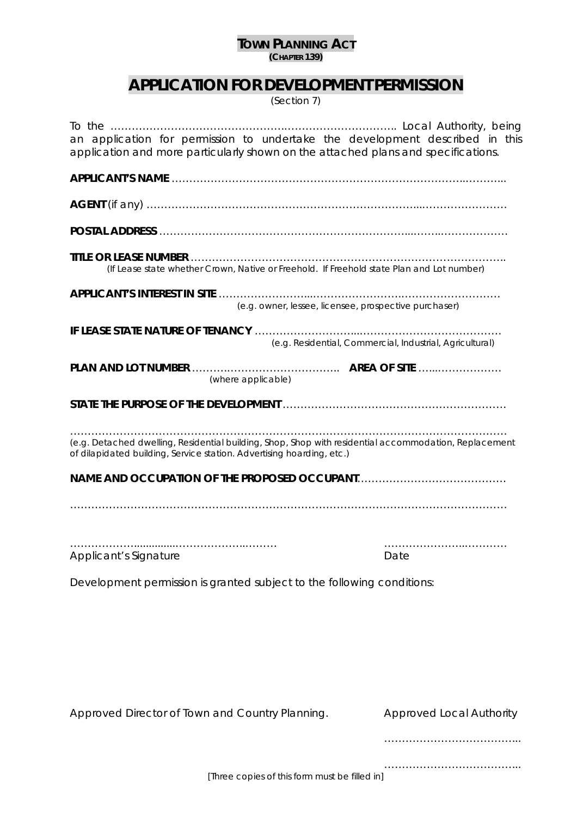## **TOWN PLANNING ACT (CHAPTER 139)**

## **APPLICATION FOR DEVELOPMENT PERMISSION**

*(Section 7)* 

| an application for permission to undertake the development described in this<br>application and more particularly shown on the attached plans and specifications.              |                                                          |
|--------------------------------------------------------------------------------------------------------------------------------------------------------------------------------|----------------------------------------------------------|
|                                                                                                                                                                                |                                                          |
|                                                                                                                                                                                |                                                          |
|                                                                                                                                                                                |                                                          |
| (If Lease state whether Crown, Native or Freehold. If Freehold state Plan and Lot number)                                                                                      |                                                          |
| (e.g. owner, lessee, licensee, prospective purchaser)                                                                                                                          |                                                          |
|                                                                                                                                                                                | (e.g. Residential, Commercial, Industrial, Agricultural) |
| (where applicable)                                                                                                                                                             |                                                          |
|                                                                                                                                                                                |                                                          |
| (e.g. Detached dwelling, Residential building, Shop, Shop with residential accommodation, Replacement<br>of dilapidated building, Service station. Advertising hoarding, etc.) |                                                          |
|                                                                                                                                                                                |                                                          |
| <b>Applicant's Signature</b>                                                                                                                                                   | Date                                                     |
| Development permission is granted subject to the following conditions:                                                                                                         |                                                          |
|                                                                                                                                                                                |                                                          |
|                                                                                                                                                                                |                                                          |
|                                                                                                                                                                                |                                                          |
| Approved Director of Town and Country Planning.                                                                                                                                | <b>Approved Local Authority</b>                          |
|                                                                                                                                                                                |                                                          |

[Three copies of this form must be filled in]

………………………………...